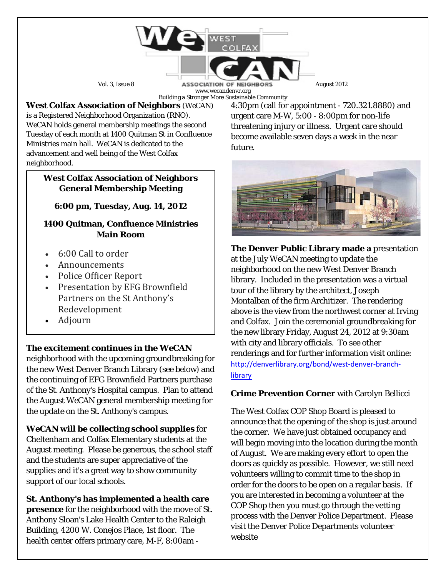

www.wecandenvr.org Building a Stronger More Sustainable Community

**West Colfax Association of Neighbors** (*WeCAN*) is a Registered Neighborhood Organization (RNO). *WeCAN* holds general membership meetings the second Tuesday of each month at 1400 Quitman St in Confluence Ministries main hall. *WeCAN* is dedicated to the advancement and well being of the West Colfax neighborhood.

#### **West Colfax Association of Neighbors General Membership Meeting**

# **6:00 pm, Tuesday, Aug. 14, 2012**

### **1400 Quitman, Confluence Ministries Main Room**

- 6:00 Call to order
- Announcements
- Police Officer Report
- Presentation by EFG Brownfield Partners on the St Anthony's Redevelopment
- Adjourn

**The excitement continues in the** *WeCAN*

neighborhood with the upcoming groundbreaking for the new West Denver Branch Library (see below) and the continuing of EFG Brownfield Partners purchase of the St. Anthony's Hospital campus. Plan to attend the August *WeCAN* general membership meeting for the update on the St. Anthony's campus.

*WeCAN* **will be collecting school supplies** for Cheltenham and Colfax Elementary students at the August meeting. Please be generous, the school staff and the students are super appreciative of the supplies and it's a great way to show community support of our local schools.

**St. Anthony's has implemented a health care presence** for the neighborhood with the move of St. Anthony Sloan's Lake Health Center to the Raleigh Building, 4200 W. Conejos Place, 1st floor. The health center offers primary care, M-F, 8:00am -

4:30pm (call for appointment - 720.321.8880) and urgent care M-W, 5:00 - 8:00pm for non-life threatening injury or illness. Urgent care should become available seven days a week in the near future.



**The Denver Public Library made a** presentation at the July *WeCAN* meeting to update the neighborhood on the new West Denver Branch library. Included in the presentation was a virtual tour of the library by the architect, Joseph Montalban of the firm Architizer. The rendering above is the view from the northwest corner at Irving and Colfax. Join the ceremonial groundbreaking for the new library Friday, August 24, 2012 at 9:30am with city and library officials. To see other renderings and for further information visit online: [http://denverlibrary.org/bond/west-denver-branch](http://denverlibrary.org/bond/west-denver-branch-library)[library](http://denverlibrary.org/bond/west-denver-branch-library)

## **Crime Prevention Corner** with Carolyn Bellicci

The West Colfax COP Shop Board is pleased to announce that the opening of the shop is just around the corner. We have just obtained occupancy and will begin moving into the location during the month of August. We are making every effort to open the doors as quickly as possible. However, we still need volunteers willing to commit time to the shop in order for the doors to be open on a regular basis. If you are interested in becoming a volunteer at the COP Shop then you must go through the vetting process with the Denver Police Department. Please visit the Denver Police Departments volunteer website